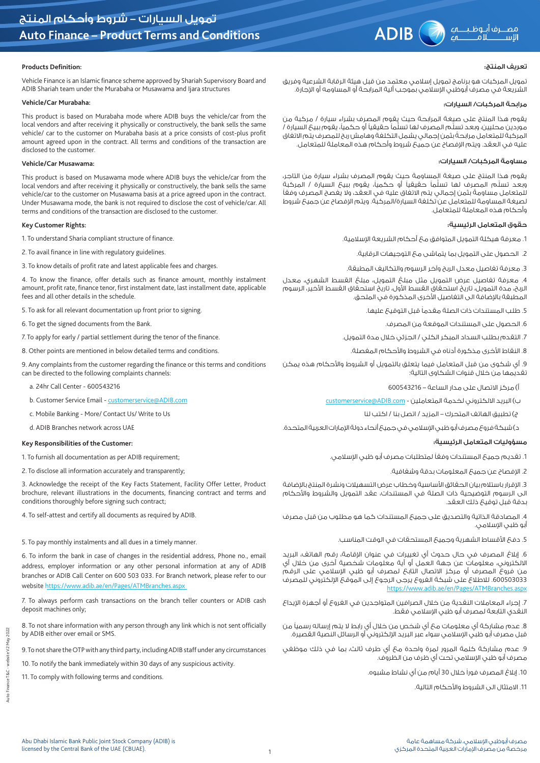# **Products Definition:**

Vehicle Finance is an Islamic finance scheme approved by Shariah Supervisory Board and ADIB Shariah team under the Murabaha or Musawama and Ijara structures

#### **Vehicle/Car Murabaha:**

This product is based on Murabaha mode where ADIB buys the vehicle/car from the local vendors and after receiving it physically or constructively, the bank sells the same vehicle/ car to the customer on Murabaha basis at a price consists of cost-plus profit amount agreed upon in the contract. All terms and conditions of the transaction are disclosed to the customer.

### **Vehicle/Car Musawama:**

This product is based on Musawama mode where ADIB buys the vehicle/car from the local vendors and after receiving it physically or constructively, the bank sells the same vehicle/car to the customer on Musawama basis at a price agreed upon in the contract. Under Musawama mode, the bank is not required to disclose the cost of vehicle/car. All terms and conditions of the transaction are disclosed to the customer.

### **Key Customer Rights:**

1. To understand Sharia compliant structure of finance.

- 2. To avail finance in line with regulatory guidelines.
- 3. To know details of profit rate and latest applicable fees and charges.

4. To know the finance, offer details such as finance amount, monthly instalment amount, profit rate, finance tenor, first instalment date, last installment date, applicable fees and all other details in the schedule.

5. To ask for all relevant documentation up front prior to signing.

6. To get the signed documents from the Bank.

7. To apply for early / partial settlement during the tenor of the finance.

8. Other points are mentioned in below detailed terms and conditions.

9. Any complaints from the customer regarding the finance or this terms and conditions can be directed to the following complaints channels:

a. 24hr Call Center - 600543216

b. Customer Service Email - customerservice@ADIB.com

c. Mobile Banking - More/ Contact Us/ Write to Us

d. ADIB Branches network across UAE

# **Key Responsibilities of the Customer:**

1. To furnish all documentation as per ADIB requirement;

2. To disclose all information accurately and transparently;

3. Acknowledge the receipt of the Key Facts Statement, Facility Offer Letter, Product brochure, relevant illustrations in the documents, financing contract and terms and conditions thoroughly before signing such contract;

4. To self-attest and certify all documents as required by ADIB.

### 5. To pay monthly instalments and all dues in a timely manner.

6. To inform the bank in case of changes in the residential address, Phone no., email address, employer information or any other personal information at any of ADIB branches or ADIB Call Center on 600 503 033. For Branch network, please refer to our website https://www.adib.ae/en/Pages/ATMBranches.aspx

7. To always perform cash transactions on the branch teller counters or ADIB cash deposit machines only;

8. To not share information with any person through any link which is not sent officially by ADIB either over email or SMS.

9. To not share the OTP with any third party, including ADIB staff under any circumstances

10. To notify the bank immediately within 30 days of any suspicious activity.

11. To comply with following terms and conditions.

# تعريف المنتج:

تمويل المركبات هو برنامج تمويل إسالمي معتمد من قبل هيئة الرقابة الشرعية وفريق الشريعة في مصرف أبوظبي اإلسالمي بموجب ألية المرابحة أو المساومه أو اإلجارة.

### مرابحة المركبات/ السيارات:

يقوم هذا المنتج على صيغة المرابحة حيث يقوم المصرف بشراء سيارة / مركبة من .<br>موردين محليين، وبعد تسلُّم المصرف لها تسلُّماً حقيقياً أو حكمياً، يقوم ببيع السيارة / المركبة للمتعامل ً مرابحة بثمن إجمالي يشمل التكلفة وهامشربح للمصرف يتم االتفاق عليه في العقد. ويتم اإلفصاح عن جميع شروط وأحكام هذه المعاملة للمتعامل.

### مساومة المركبات/ السيارات:

يقوم هذا المنتج على صيغة المساومة حيث يقوم المصرف بشراء سيارة من التاجر، وبعد تسلُّم المصرف لها تسلُّماً حقيقياً أو حكمياً، يقوم ببيع السيارة / المركبة للمتعامل مساومةً بثمن إجمالي يتم الاتفاق عليه في العقد، ولا يفصح المصرف وفقاً لصيغة المساومة للمتعامل عن تكلفة السيارة/المركبة. ويتم اإلفصاح عن جميع شروط وأحكام هذه المعاملة للمتعامل.

# حقوق المتعامل الرئيسية:

.1 معرفة هيكلة التمويل المتوافق مع أحكام الشريعة اإلسالمية.

.2 الحصول على التمويل بما يتماشى مع التوجيهات الرقابية.

.3 معرفة تفاصيل معدل الربح وآخر الرسوم والتكاليف المطبقة.

.4 معرفة تفاصيل عرض التمويل مثل مبلغ التمويل، مبلغ القسط الشهري، معدل الربح، مدة التمويل، تاريخ استحقاق القسط األول، تاريخ استحقاق القسط األخير، الرسوم المطبقة بالإضافة الى التفاصيل الأخرى المذكورة في الملحق.

5. طلب المستندات ذات الصلة مقدماً قبل التوقيع عليها.

.6 الحصول على المستندات الموقعة من المصرف.

.7 التقدم بطلب السداد المبكر الكلي / الجزئي خالل مدة التمويل.

8. النقاط الأخرى مذكورة أدناه في الشروط والأحكام المغصلة.

.9 أي شكوى من قبل المتعامل فيما يتعلق بالتمويل أو الشروط واألحكام هذه يمكن تقديمها من خلال قنوات الشكاوى التالية:

أ( مركز االتصال على مدار الساعة – 600543216

ب) البريد الالكتروني لخدمة المتعاملين - customerservice@ADIB.com

ج( تطبيق الهاتف المتحرك – المزيد / اتصل بنا / اكتب لنا

د) شبكة فروع مصرف أبو ظبي الإسلامي في جميع أنحاء دولة الإمارات العربية المتحدة.

# مسؤوليات المتعامل الرئيسية:

1. تقديم جميع المستندات وفقاً لمتطلبات مصرف أبو ظبى الإسلامى.

.2 اإلفصاح عن جميع المعلومات بدقة وشفافية.

3. الإقرار باستلام بيان الحقائق الأساسية وخطاب عرض التسهيلات ونشرة المنتج بالإضافة الى الرسوم التوضيحية ذات الصلة في المستندات، عقد التمويل والشروط واألحكام بدقة قبل توقيع ذلك العقد.

.4 المصادقة الذاتية والتصديق على جميع المستندات كما هو مطلوب من قبل مصرف أبو ظبي الإسلامي.

5. دفع الأقساط الشهرية وجميع المستحقات في الوقت المناسب.

6. إبلاغ المصرف في حال حدوث أي تغييرات في عنوان الإقامة، رقم الهاتف، البريد االلكتروني، معلومات عن جهة العمل أو أية معلومات شخصية أخرى من خالل أي من فروع المصرف أو مركز االتصال التابع لمصرف أبو ظبي اإلسالمي على الرقم .600503033 لالطالع على شبكة الفروع يرجى الرجوع إلى الموقع اإللكتروني للمصرف https://www.adib.ae/en/Pages/ATMBranches.aspx

7. إجراء المعاملات النقدية من خلال الصرافين المتواجدين في الفروع أو أجهزة الإيداع النقدي التابعة لمصرف أبو ظبي اإلسالمي فقط.

8. عدم مشارِكة أي معلومات مع أي شخص من خلال أي رابط لا يتم إرساله رسمياً من قبل مصرف أبو ظبي الإسلامي سواء عبر البريد الإلكتروني أو الرسائل النصية القصيرة.

.9 عدم مشاركة كلمة المرور لمرة واحدة مع أي طرف ثالث، بما في ذلك موظفي مصرف أبو ظبي اإلسالمي تحت أي ظرف من الظروف.

10. إبلاغ المصرف فوراً خلال 30 أيام من أي نشاط مشبوه.

11. الامتثال الى الشروط والأحكام التالية.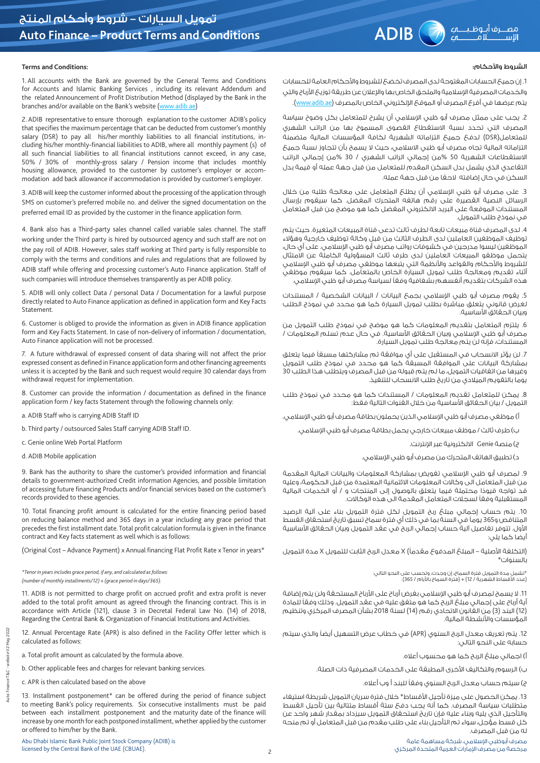## الشروط والأحكام:

1. إن جميعَ الحسابات المغتوحة لدى المصرف تخضعَ للشروط والأحكام العامة للحسابات والخدمات المصرفية الإسلامية والملحق الخاص بها والإعلان عن طريعَة توزيعَ الأرباح والتي يتم عرضها في أفرع المصرف أو الموقع الإلكتروني الخاص بالمصرف (<u>www.adib.ae.</u>).

.2 يجب على ممثل مصرف أبو ظبي اإلسالمي أن يشرح للمتعامل بكل وضوح سياسة المصرف التي تحدد نسبة االستقطاع القصوى المسموح بها من الراتب الشهري للمتعامل)DSR )لدفع جميع التزاماته الشهرية لكافة المؤسسات المالية متضمنة التزاماته المالية تجاه مصرف أبو ظبي االسالمي، حيث ال يسمح بأن تتجاوز نسبة جميع االستقطاعات الشهرية 50 %من إجمالي الراتب الشهري / 30 %من إجمالي الراتب التقاعدي الذي يشمل بدل السكن المقدم للمتعامل من قبل جهة عمله أو قيمة بدل السكن في حال إضافته الحقا من قبل جهة عمله.

.3 على مصرف أبو ظبي اإلسالمي أن يطلع المتعامل على معالجة طلبه من خالل الرسائل النصية القصيرة على رقم هاتفه المتحرك المفضل. كما سيقوم بإرسال المستندات الموقعة على البريد االلكتروني المفضل كما هو موضح من قبل المتعامل في نموذج طلب التمويل.

.4 لدى المصرف قناة مبيعات تابعة لطرف ثالث تدعى قناة المبيعات المتغيرة. حيث يتم توظيف الموظفين العاملين لدى الطرف الثالث من قبل وكالة توظيف خارجية وهؤالء الموظفين ليسوا مدرجين في كشوفات رواتب مصرف أبو ظبي اإلسالمي. على أي حال، يتحمل موظفو المبيعات العاملين لدى طرف ثالث المسؤولية الكاملة عن االمتثال للشروط والأحكام والقواعد والأنظمة التي يتبعها موظفي مصرف أبو ظبي الإسلامي أثناء تقديم ومعالجة طلب تمويل السيارة الخاص بالمتعامل. كما سيقوم موظفي هذه الشركات بتقديم أنغسهم بشفافية وفقاً لسياسة مصرف أبو ظبي الإسلامي.

.5 يقوم مصرف أبو ظبي اإلسالمي بجمع البيانات / البيانات الشخصية / المستندات لغرض قانوني يتعلق مباشرة بطلب تمويل السيارة كما هو محدد في نموذج الطلب وبيان الحقائق الأساسية.

.6 يلتزم المتعامل بتقديم المعلومات كما هو موضح في نموذج طلب التمويل من مصرف أبو ظبي الإسلامي وبيان الحقائق الأساسية. في حال عدم تسلم المعلومات / المستندات، فإنه لن يتم معالجة طلب تمويل السيارة.

.7 لن يؤثر االنسحاب في المستقبل على أي موافقة تم مشاركتها ً مسبقا فيما يتعلق بمشاركة البيانات على الموافقة المسبقة كما هو محدد في نموذج طلب التمويل وغيرها من اتفاقيات التمويل، ما لم يتم قبوله من قبل المصرف ويتطلب هذا الطلب 30 يوما بالتقويم الميالدي من تاريخ طلب االنسحاب للتنفيذ.

.8 يمكن للمتعامل تقديم المعلومات / المستندات كما هو محدد في نموذج طلب التمويل / بيان الحقائق الأساسية من خلال القنوات التالية فقط:

أ) موظفى مصرف أبو ظبى الإسلامي الذين يحملون بطاقة مصرف أبو ظبي الإسلامي.

ب) طرف ثالث / موظف مبيعات خارجي يحمل بطاقة مصرف أبو ظبي الإسلامي.

ج) منصة Genie الالكترونية عبر الإنترنت.

د) تطبيق الهاتف المتحرك من مصرف أبو ظبى الإسلامي.

.9 لمصرف أبو ظبي اإلسالمي تفويض بمشاركة المعلومات والبيانات المالية المقدمة من قبل المتعامل الى وكاالت المعلومات االئتمانية المعتمدة من قبل الحكومة، وعليه قد تواجه ً قيودا محتملة فيما يتعلق بالوصول إلى المنتجات و / أو الخدمات المالية المستقبلية وفقاً لسجلات المتعامل المقدمة الى هذه الوكالات.

.10 يتم حساب إجمالي مبلغ ربح التمويل لكل فترة التمويل بناء على آلية الرصيد المتناقص و365 يوماً في السنة بما في ذلك أي فترة سماح تسبق تاريخ استحقاق القسط الأول. تتوفر تفاصيل آلية حساب إجمالي الربح في عقد التمويل وبيان الحقائق الأساسية أيضا كما يلي:

)التكلفة األصلية – المبلغ المدفوع ً مقدما( X معدل الربح الثابت للتمويل X مدة التمويل .<br>بالسنوات\*

> \*تشمل مدة التمويل فترة السماح، إن وجدت، وتحسب على النحو التالي: )عدد األقساط الشهرية / 12( + )فترة السماح باأليام / 365(.

11. لا يسمح لمصرف أبو ظبي الإسلامي بغرض أرباح على الأرباح المستحقة ولن يتم إضافة أية أرباح على إجمالي مبلغ الربح كما هو متغق عليه في عقد التمويل. وذلك وفقاً للمادة )12( البند )3( من القانون االتحادي رقم )14( لسنة 2018 بشأن المصرف المركزي وتنظيم المؤسسات والأنشطة المالية.

12. يتم تعريف معدل الربح السنوي (APR) في خطاب عرض التسهيل أيضاً والذي سيتم حسابه على النحو التالي:

أ) اجمالي مبلغ الربح كما هو محسوب أعلاه.

ب) الرسوم والتكاليف الأخرى المطبقة على الخدمات المصرفية ذات الصلة.

ج) سيتم حساب معدل الربح السنوى وفقاً للبند أ وب أعلاه.

13. يمكن الحصول على ميزة تأجيل الأقساط\* خلال فترة سريان التمويل شريطة استيفاء متطلبات سياسة المصرف. كما أنه يجب دفع ستة أقساط متتالية بين تأجيل القسط والتأجيل الذي يليه وبناء عليه فإن تاريخ استحقاق التمويل سيزداد بمقدار شهر واحد عن كل قسط مؤجل، سواء تم التأجيل بناء على طلب مقدم من قبل المتعامل أو تم منحه له من قبل المصرف.

**Terms and Conditions:**

1. All accounts with the Bank are governed by the General Terms and Conditions for Accounts and Islamic Banking Services , including its relevant Addendum and the related Announcement of Profit Distribution Method (displayed by the Bank in the branches and/or available on the Bank's website (www.adib.ae)

2. ADIB representative to ensure thorough explanation to the customer ADIB's policy that specifies the maximum percentage that can be deducted from customer's monthly salary (DSR) to pay all his/her monthly liabilities to all financial institutions, including his/her monthly-financial liabilities to ADIB, where all monthly payment (s) of all such financial liabilities to all financial institutions cannot exceed, in any case, 50% / 30% of monthly-gross salary / Pension income that includes monthly housing allowance, provided to the customer by customer's employer or accommodation add back allowance if accommodation is provided by customer's employer.

3. ADIB will keep the customer informed about the processing of the application through SMS on customer's preferred mobile no. and deliver the signed documentation on the preferred email ID as provided by the customer in the finance application form.

4. Bank also has a Third-party sales channel called variable sales channel. The staff working under the Third party is hired by outsourced agency and such staff are not on the pay roll of ADIB. However, sales staff working at Third party is fully responsible to comply with the terms and conditions and rules and regulations that are followed by ADIB staff while offering and processing customer's Auto Finance application. Staff of such companies will introduce themselves transparently as per ADIB policy.

5. ADIB will only collect Data / personal Data / Documentation for a lawful purpose directly related to Auto Finance application as defined in application form and Key Facts **Statement** 

6. Customer is obliged to provide the information as given in ADIB finance application form and Key Facts Statement. In case of non-delivery of information / documentation, Auto Finance application will not be processed.

7. A future withdrawal of expressed consent of data sharing will not affect the prior expressed consent as defined in Finance application form and other financing agreements unless it is accepted by the Bank and such request would require 30 calendar days from withdrawal request for implementation.

8. Customer can provide the information / documentation as defined in the finance application form / key facts Statement through the following channels only:

a. ADIB Staff who is carrying ADIB Staff ID

b. Third party / outsourced Sales Staff carrying ADIB Staff ID.

c. Genie online Web Portal Platform

d. ADIB Mobile application

9. Bank has the authority to share the customer's provided information and financial details to government-authorized Credit information Agencies, and possible limitation of accessing future financing Products and/or financial services based on the customer's records provided to these agencies.

10. Total financing profit amount is calculated for the entire financing period based on reducing balance method and 365 days in a year including any grace period that precedes the first installment date. Total profit calculation formula is given in the finance contract and Key facts statement as well which is as follows:

(Original Cost – Advance Payment) x Annual financing Flat Profit Rate x Tenor in years\*

*\*Tenor in years includes grace period, if any, and calculated as follows: (number of monthly installments/12) + (grace period in days/365).*

11. ADIB is not permitted to charge profit on accrued profit and extra profit is never added to the total profit amount as agreed through the financing contract. This is in accordance with Article (121), clause 3 in Decretal Federal Law No. (14) of 2018, Regarding the Central Bank & Organization of Financial Institutions and Activities.

12. Annual Percentage Rate (APR) is also defined in the Facility Offer letter which is calculated as follows:

a. Total profit amount as calculated by the formula above.

b. Other applicable fees and charges for relevant banking services.

c. APR is then calculated based on the above

13. Installment postponement\* can be offered during the period of finance subject to meeting Bank's policy requirements. Six consecutive installments must be paid between each installment postponement and the maturity date of the finance will increase by one month for each postponed installment, whether applied by the customer or offered to him/her by the Bank.

website V2 May 2022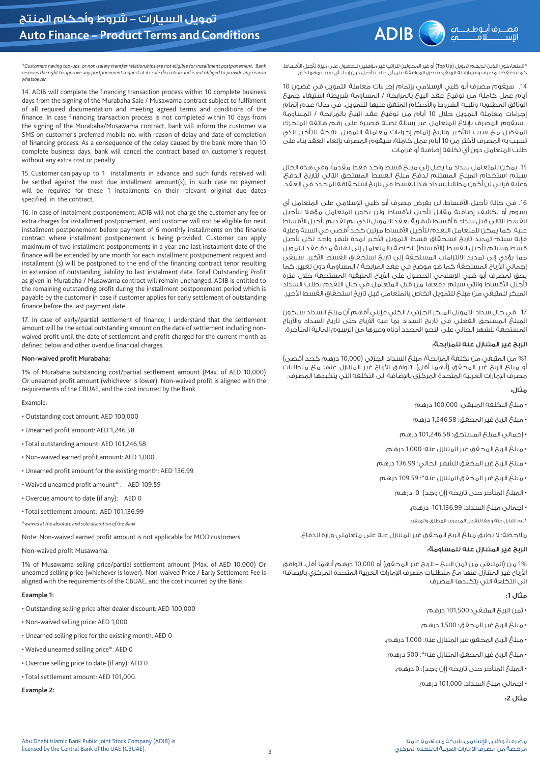\*المتعاملون الذين لديهم تمويل )Up Top )أو غير المحولين للراتب غير مؤهلين للحصول على ميزة تأجيل األقساط. كما يحتفظ المصرف وفق ارادته المنفردة بحق الموافقة على أي طلب تأجيل دون إبداء أي سبب مهما كان.

*\*Customers having top-ups, or non-salary transfer relationships are not eligible for installment postponement. Bank reserves the right to approve any postponement request at its sole discretion and is not obliged to provide any reason whatsoever.*

14. ADIB will complete the financing transaction process within 10 complete business days from the signing of the Murabaha Sale / Musawama contract subject to fulfilment of all required documentation and meeting agreed terms and conditions of the finance. In case financing transaction process is not completed within 10 days from the signing of the Murabaha/Musawama contract, bank will inform the customer via SMS on customer's preferred mobile no. with reason of delay and date of completion of financing process. As a consequence of the delay caused by the bank more than 10 complete business days, bank will cancel the contract based on customer's request without any extra cost or penalty.

15. Customer can pay up to 1 installments in advance and such funds received will be settled against the next due installment amount(s), in such case no payment will be required for these 1 installments on their relevant original due dates specified in the contract.

16. In case of instalment postponement, ADIB will not charge the customer any fee or extra charges for installment postponement, and customer will not be eligible for next installment postponement before payment of 6 monthly installments on the finance contract where installment postponement is being provided. Customer can apply maximum of two installment postponements in a year and last instalment date of the finance will be extended by one month for each installment postponement request and installment (s) will be postponed to the end of the financing contract tenor resulting in extension of outstanding liability to last instalment date. Total Outstanding Profit as given in Murabaha / Musawama contract will remain unchanged. ADIB is entitled to the remaining outstanding profit during the installment postponement period which is payable by the customer in case if customer applies for early settlement of outstanding finance before the last payment date.

17. In case of early/partial settlement of finance, I understand that the settlement amount will be the actual outstanding amount on the date of settlement including nonwaived profit until the date of settlement and profit charged for the current month as defined below and other overdue financial charges.

### **Non-waived profit Murabaha:**

1% of Murabaha outstanding cost/partial settlement amount (Max. of AED 10,000) Or unearned profit amount (whichever is lower). Non-waived profit is aligned with the requirements of the CBUAE, and the cost incurred by the Bank.

#### Example:

- Outstanding cost amount: AED 100,000
- Unearned profit amount: AED 1,246.58
- Total outstanding amount: AED 101,246.58
- Non-waived earned profit amount: AED 1,000
- Unearned profit amount for the existing month: AED 136.99
- Waived unearned profit amount\* : AED 109.59
- Overdue amount to date (if any): AED 0
- Total settlement amount: AED 101,136.99
- *\*waived at the absolute and sole discretion of the Bank*

Note: Non-waived earned profit amount is not applicable for MOD customers

Non-waived profit Musawama:

1% of Musawama selling price/partial settlement amount (Max. of AED 10,000) Or unearned selling price (whichever is lower). Non-waived Price / Early Settlement Fee is aligned with the requirements of the CBUAE, and the cost incurred by the Bank.

#### **Example 1:**

- Outstanding selling price after dealer discount: AED 100,000
- Non-waived selling price: AED 1,000
- Unearned selling price for the existing month: AED 0
- Waived unearned selling price\*: AED 0
- Overdue selling price to date (if any): AED 0
- Total settlement amount: AED 101,000.

**Example 2:**

.14 سيقوم مصرف أبو ظبي اإلسالمي بإتمام إجراءات معاملة التمويل في غضون 10 أيام عمل كاملة من توقيع عقد البيع بالمرابحة / المساومة شريطة استيفاء جميع الوثائق المطلوبة وتلبية الشروط واألحكام المتفق عليها للتمويل. في حالة عدم إتمام إجراءات معاملة التمويل خالل 10 أيام من توقيع عقد البيع بالمرابحة / المساومة ، سيقوم المصرف بإبالغ المتعامل عبر رسالة نصية قصيرة على رقم هاتفه المتحرك المفضل مع سبب التأخير وتاريخ إتمام إجراءات معاملة التمويل. نتيجة للتأخير الذي تسبب به المصرف لأكثر من 10 أيام عمل كاملة، سيقوم المصرف بإلغاء العقد بناء على طلب المتعامل دون أي تكلفة إضافية أو غرامات.

15. يمكن للمتعامل سداد ما يصل إلى مبلغ قسط واحد فقط مقدماً، وفي هذه الحال سيتم استخدام المبلغ المستلم لدفع مبلغ القسط المستحق التالي لتاريخ الدفع، وعليه فإنني لن أكون ً مطالبا بسداد هذا القسط في تاريخ استحقاقه المحدد في العقد.

16. في حالة تأجيل الأقساط، لن يفرض مصرف أبو ظبي الإسلامي على المتعامل أي رسوم أو تكاليف إضافية مقابل تأجيل األقساط ولن يكون المتعامل مؤهال لتأجيل القسط التالي قبل سداد 6 أقساط شهرية لعقد التمويل الذي تم تقديم تأجيل األقساط عليه. كما يمكن للمتعامل التقدم لتأجيل الأقساط مرتين كحد أقصى في السنة وعليه فإنه سيتم تمديد تاريخ استحقاق قسط التمويل الأخير لمدة شهر واحد لكل تأجيل قسط وسيتم تأجيل القسط (الأقساط) الخاصة بالمتعامل إلى نهاية مدة عقد التمويل مما يؤدي إلى تمديد الالتزامات المستحقة إلى تاريخ استحقاق القسط الأخير. سيبقى إجمالي الأرباح المستحقة كما هو موضح في عقد المرابحة / المساومة دون تغيير. كما يحق لمصرف أبو ظبي الإسلامي الحصول على الأرباح المتبقية المستحقة خلال فترة تأجيل األقساط والتي سيتم دفعها من قبل المتعامل في حال التقدم بطلب السداد المبكر للمتبقي من مبلغ للتمويل الخاص بالمتعامل قبل تاريخ استحقاق القسط األخير.

.17 في حال سداد التمويل المبكر الجزئي / الكلي فإنني أفهم أن مبلغ السداد سيكون المبلغ المستحق الفعلي في تاريخ السداد بما فيه الأرباح حتى تاريخ السداد والأرباح المستحقة للشهر الحالي على النحو المحدد أدناه وغيرها من الرسوم المالية المتأخرة.

# الربح غير المتنازل عنه للمرابحة:

%1 من المتبقي من تكلفة المرابحة/ مبلغ السداد الجزئي )10,000 درهم كحد أقصى( أو مبلغ الربح غير المحقق (أيهما أقل). تتوافق الأرباح غير المتنازل عنها مع متطلبات مصرف الإمارات العربية المتحدة المركزي بالإضافة الى التكلفة التي يتكبدها المصرف.

# مثال:

- مبلغ التكلفة المتبقي: 100,000 درهم
- مبلغ الربح غير المحقق: 1,246.58 درهم
- إجمالي المبلغ المستحق: 101,246.58 درهم.
- مبلغ الربح المحقق غير المتنازل عنه: 1,000 درهم.
- مبلغ الربح غير المحقق للشهر الحالي: 136.99 درهم.
- مبلغ الربح غير المحقق المتنازل عنه\*: 109.59 درهم.
	- المبلغ المتأخر حتى تاريخه )إن وجد( 0 :درهم
		- اجمالي مبلغ السداد: 101,136.99 درهم.
		- \*تم التنازل عنه ً وفقا لتقدير المصرف المطلق والمنفرد

مالحظة: ال يطبق مبلغ الربح المحقق غير المتنازل عنه على متعاملي وزارة الدفاع.

# الربح غير المتنازل عنه للمساومة:

1% من (المتبقى من ثمن البيح – الربح غير المحقق) أو 10,000 درهم أيهما أقل. تتوافق األرباح غير المتنازل عنها مع متطلبات مصرف اإلمارات العربية المتحدة المركزي باإلضافة الى التكلفة التي يتكبدها المصرف.

# مثال :**1**

- ثمن البيع المتبقي: 101,500 درهم
- مبلغ الربح غير المحقق: 1,500 درهم
- مبلغ الربح المحقق غير المتنازل عنه: 1,000 درهم.
- مبلغ الربح غير المحقق المتنازل عنه\*: 500 درهم.
	- المبلغ المتأخر حتى تاريخه )إن وجد(: 0 درهم.
		- اجمالي مبلغ السداد: 101,000 درهم.

مثال :**2**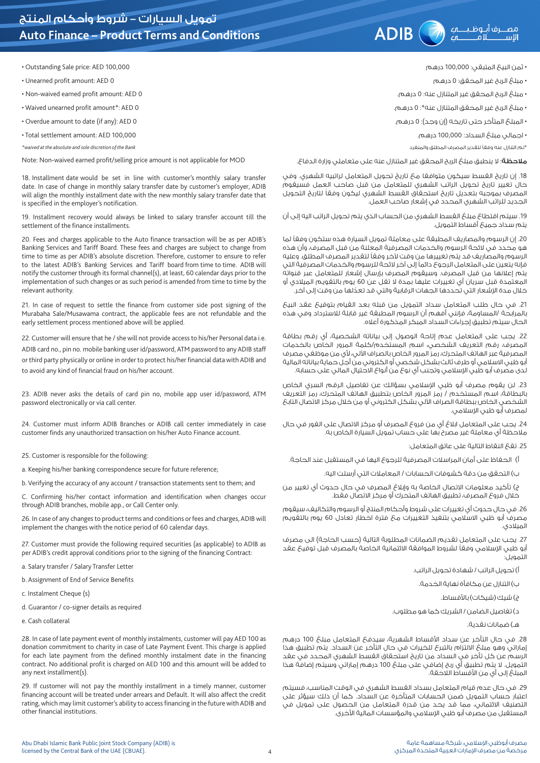# **Auto Finance – Product Terms and Conditions**

• Outstanding Sale price: AED 100,000

• Unearned profit amount: AED 0

• Non-waived earned profit amount: AED 0

• Waived unearned profit amount\*: AED 0

• Overdue amount to date (if any): AED 0

• Total settlement amount: AED 100,000

*\*waived at the absolute and sole discretion of the Bank*

Note: Non-waived earned profit/selling price amount is not applicable for MOD

18. Installment date would be set in line with customer's monthly salary transfer date. In case of change in monthly salary transfer date by customer's employer, ADIB will align the monthly installment date with the new monthly salary transfer date that is specified in the employer's notification.

19. Installment recovery would always be linked to salary transfer account till the settlement of the finance installments.

20. Fees and charges applicable to the Auto finance transaction will be as per ADIB's Banking Services and Tariff Board. These fees and charges are subject to change from time to time as per ADIB's absolute discretion. Therefore, customer to ensure to refer to the latest ADIB's Banking Services and Tariff board from time to time. ADIB will notify the customer through its formal channel(s), at least, 60 calendar days prior to the implementation of such changes or as such period is amended from time to time by the relevant authority.

21. In case of request to settle the finance from customer side post signing of the Murabaha Sale/Musawama contract, the applicable fees are not refundable and the early settlement process mentioned above will be applied.

22. Customer will ensure that he / she will not provide access to his/her Personal data i.e. ADIB card no., pin no. mobile banking user id/password, ATM password to any ADIB staff or third party physically or online in order to protect his/her financial data with ADIB and to avoid any kind of financial fraud on his/her account.

23. ADIB never asks the details of card pin no, mobile app user id/password, ATM password electronically or via call center.

24. Customer must inform ADIB Branches or ADIB call center immediately in case customer finds any unauthorized transaction on his/her Auto Finance account.

25. Customer is responsible for the following:

a. Keeping his/her banking correspondence secure for future reference;

b. Verifying the accuracy of any account / transaction statements sent to them; and

C. Confirming his/her contact information and identification when changes occur through ADIB branches, mobile app., or Call Center only.

26. In case of any changes to product terms and conditions or fees and charges, ADIB will implement the changes with the notice period of 60 calendar days.

27. Customer must provide the following required securities (as applicable) to ADIB as per ADIB's credit approval conditions prior to the signing of the financing Contract:

a. Salary transfer / Salary Transfer Letter

b. Assignment of End of Service Benefits

c. Instalment Cheque (s)

d. Guarantor / co-signer details as required

e. Cash collateral

28. In case of late payment event of monthly instalments, customer will pay AED 100 as donation commitment to charity in case of Late Payment Event. This charge is applied for each late payment from the defined monthly instalment date in the financing contract. No additional profit is charged on AED 100 and this amount will be added to any next installment(s).

29. If customer will not pay the monthly installment in a timely manner, customer financing account will be treated under arrears and Default. It will also affect the credit rating, which may limit customer's ability to access financing in the future with ADIB and other financial institutions.

• مبلغ الربح غير المحقق: 0 درهم

• مبلغ الربح المحقق غير المتنازل عنه: 0 درهم.

مصـرف أبـوظـبـــه ADIB (مصـــرف أبــوظـبـــه ي

• مبلغ الربح غير المحقق المتنازل عنه\*: 0 درهم. • المبلغ المتأخر حتى تاريخه (إن وجد): 0 درهم.

• اجمالي مبلغ السداد: 100,000 درهم.

\*تم التنازل عنه ً وفقا لتقدير المصرف المطلق والمنفرد

**ملاحظة**: لا ينطبق مبلغ الربح المحقق غير المتنازل عنه على متعاملي وزارة الدفاع.

.18 إن تاريخ القسط سيكون متوافقا مع تاريخ تحويل المتعامل لراتبيه الشهري. وفي حال تغيير تاريخ تحويل الراتب الشهري للمتعامل من قبل صاحب العمل فسيقوم المصرف بموجبه بتعديل تاريخ استحقاق القسط الشهري ليكون وفقا لتاريخ التحويل الجديد للراتب الشهري المحدد في إشعار صاحب العمل.

.19 سيتم اقتطاع مبلغ القسط الشهري من الحساب الذي يتم تحويل الراتب اليه إلى أن يتم سداد جميع أقساط التمويل.

20. إن الرسوم والمصاريف المطبقة على معاملة تمويل السيارة هذه ستكون وفقاً لما هو محدد في الئحة الرسوم والخدمات المصرفية المعلنة من قبل المصرف، وأن هذه الرسوم والمصاريف قد يتم تغييرها من وقت لآخر وفقاً لتقدير المصرف المطلق. وعليه فإنه يتعين على المتعامل الرجوع ً دائما إلى آخر الئحة للرسوم والخدمات المصرفية التي يتم إعالنها من قبل المصرف. وسيقوم المصرف بإرسال إشعار للمتعامل عبر قنواته المعتمدة قبل سريان أي تغييرات عليها بمدة ال تقل عن 60 يوم بالتقويم الميالدي أو خلال مدة الإشعار التي تحددها الجهات الرقابية والتي قد تعدّلها من وقت إلى آخر.

.21 في حال طلب المتعامل سداد التمويل من قبله بعد القيام بتوقيع عقد البيع بالمرابحة /المساومة، فإنني أفهم أن الرسوم المطبقة غير قابلة لالسترداد وفي هذه الحال سيتم تطبيق إجراءات السداد المبكر المذكورة أعاله.

.22 يجب على المتعامل عدم إتاحة الوصول إلى بياناته الشخصية، أي رقم بطاقة المصرف، رقم التعريف الشخصي، اسم المستخدم/كلمة المرور الخاص بالخدمات المصرفية عبر الهاتف المتحرك، رمز المرور الخاص بالصراف الآلي، لأي من موظفي مصرف أبو ظبي االسالمي أو طرف ثالث بشكل شخصي أو الكتروني من أجل حماية بياناته المالية لدى مصرف أبو ظبي اإلسالمي وتجنب أي نوع من أنواع االحتيال المالي على حسابه.

23. لن يقوم مصرف أبو ظبي الإسلامي بسؤالك عن تفاصيل الرقم السري الخاص بالبطاقة، اسم المستخدم / رمز المرور الخاص بتطبيق الهاتف المتحرك، رمز التعريف الشخصي الخاص ببطاقة الصراف اآللي بشكل الكتروني أو من خالل مركز االتصال التابع لمصرف أبو ظبي الإسلامي.

.24 يجب على المتعامل ابالغ أي من فروع المصرف أو مركز االتصال على الفور في حال مالحظة أي معاملة غير مصرح بها على حساب تمويل السيارة الخاص به.

.25 تقع النقاط التالية على عاتق المتعامل:

أ) الحفاظ على أمان المراسلات المصرفية للرجوع اليها في المستقبل عند الحاجة.

ب) التحقق من دقة كشوفات الحسابات / المعاملات التي أرسلت اليه.

ج( تأكيد معلومات االتصال الخاصة به وإبالغ المصرف في حال حدوث أي تغيير من خالل فروع المصرف، تطبيق الهاتف المتحرك أو مركز االتصال فقط.

.26 في حال حدوث أي تغييرات على شروط وأحكام المنتج أو الرسوم والتكاليف، سيقوم مصرف أبو ظبي االسالمي بتنفيذ التغييرات مع فترة اخطار تعادل 60 يوم بالتقويم الميالدي.

27. يجب على المتعامل تقديم الضمانات المطلوبة التالية (حسب الحاجة) الى مصرف أبو ظبى الإسلامي وفقاً لشروط الموافقة الائتمانية الخاصة بالمصرف قبل توقيع عقد التمويل:

أ) تحويل الراتب / شهادة تحويل الراتب.

ب( التنازل عن مكافأة نهاية الخدمة.

ج) شيك (شيكات) بالأقساط.

د) تغاصيل الضامن / الشريك كما هو مطلوب.

هـ) ضمانات نقدية.

.28 في حال التأخر عن سداد األقساط الشهرية، سيدفع المتعامل مبلغ 100 درهم إماراتي وهو مبلغ االلتزام بالتبرع للخيرات في حال التأخر عن السداد. يتم تطبيق هذا الرسم عن كل تأخر في السداد من تاريخ استحقاق القسط الشهري المحدد في عقد التمويل. ال يتم تطبيق أي ربح إضافي على مبلغ 100 درهم إماراتي وسيتم إضافة هذا المبلغ إلى أي من الأقساط اللاحقة.

.29 في حال عدم قيام المتعامل بسداد القسط الشهري في الوقت المناسب، فسيتم اعتبار حساب التمويل ضمن الحسابات المتأخرة عن السداد. كما أن ذلك سيؤثر على التصنيف االئتماني، مما قد يحد من قدرة المتعامل من الحصول على تمويل في المستقبل من مصرف أبو ظبي الإسلامي والمؤسسات المالية الأخرى.